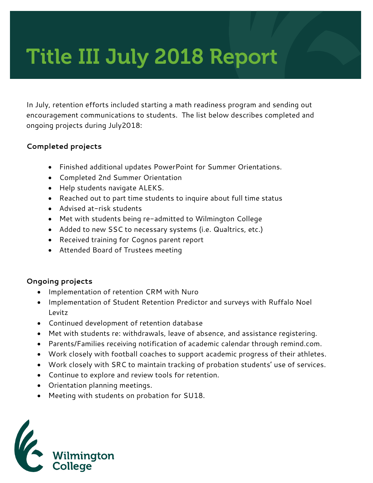# Title III July 2018 Report

In July, retention efforts included starting a math readiness program and sending out encouragement communications to students. The list below describes completed and ongoing projects during July2018:

### **Completed projects**

- Finished additional updates PowerPoint for Summer Orientations.
- Completed 2nd Summer Orientation
- Help students navigate ALEKS.
- Reached out to part time students to inquire about full time status
- Advised at-risk students
- Met with students being re-admitted to Wilmington College
- Added to new SSC to necessary systems (i.e. Qualtrics, etc.)
- Received training for Cognos parent report
- Attended Board of Trustees meeting

#### **Ongoing projects**

- Implementation of retention CRM with Nuro
- Implementation of Student Retention Predictor and surveys with Ruffalo Noel Levitz
- Continued development of retention database
- Met with students re: withdrawals, leave of absence, and assistance registering.
- Parents/Families receiving notification of academic calendar through remind.com.
- Work closely with football coaches to support academic progress of their athletes.
- Work closely with SRC to maintain tracking of probation students' use of services.
- Continue to explore and review tools for retention.
- Orientation planning meetings.
- Meeting with students on probation for SU18.